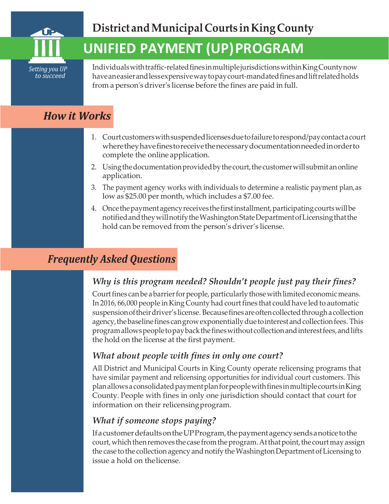

# **UNIFIED PAYMENT (UP)PROGRAM**

Individualswithtraffic-relatedfinesinmultiplejurisdictionswithinKingCountynow have aneasier and less expensive way to pay court-mandated fines and lift related holds from a person's driver's license before the fines are paid in full.

## *How it Works*

- 1. Courtcustomerswithsuspendedlicensesduetofailuretorespond/paycontactacourt wheretheyhavefinestoreceivethenecessarydocumentationneededinorderto complete the online application.
- 2. Using the documentation provided by the court, the customer will submit an online application.
- 3. The payment agency works with individuals to determine a realistic payment plan,as low as \$25.00 per month, which includes a \$7.00 fee.
- 4. Oncethepaymentagencyreceivesthefirstinstallment,participatingcourtswillbe notifiedandtheywillnotifytheWashingtonStateDepartmentofLicensingthatthe hold can be removed from the person's driver's license.

### *Frequently Asked Questions*

### *Why is this program needed? Shouldn't people just pay their fines?*

Court fines can be a barrier for people, particularly those with limited economic means. In 2016, 66,000 people in King County had court fines that could have led to automatic suspension of their driver's license. Because fines are often collected through a collection agency, the baseline fines can grow exponentially due to interest and collection fees. This programallowspeopletopaybackthefineswithoutcollectionandinterestfees,andlifts the hold on the license at the first payment.

### *What about people with fines in only one court?*

All District and Municipal Courts in King County operate relicensing programs that have similar payment and relicensing opportunities for individual court customers. This plan allows a consolidated payment plan for people with fines in multiple courts in King County. People with fines in only one jurisdiction should contact that court for information on their relicensingprogram.

### *What if someone stops paying?*

IfacustomerdefaultsontheUPProgram,thepaymentagencysendsanoticetothe court, which then removes the case from the program. At that point, the court may assign the case to the collection agency and notify the Washington Department of Licensing to issue a hold on thelicense.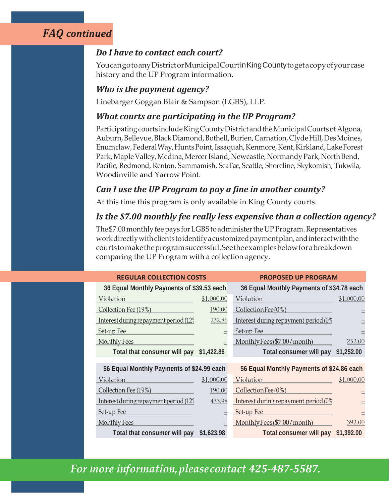### *FAQ continued*

#### *Do I have to contact each court?*

YoucangotoanyDistrictorMunicipalCourtinKingCountytogetacopyofyourcase history and the UP Program information.

#### *Who is the payment agency?*

Linebarger Goggan Blair & Sampson (LGBS), LLP.

#### *What courts are participating in the UP Program?*

Participating courts include King County District and the Municipal Courts of Algona, Auburn, Bellevue, Black Diamond, Bothell, Burien, Carnation, Clyde Hill, Des Moines, Enumclaw,FederalWay,HuntsPoint,Issaquah,Kenmore,Kent,Kirkland,LakeForest Park, Maple Valley, Medina, Mercer Island, Newcastle, Normandy Park, North Bend, Pacific, Redmond, Renton, Sammamish, SeaTac, Seattle, Shoreline, Skykomish, Tukwila, Woodinville and YarrowPoint.

#### *Can I use the UP Program to pay a fine in another county?*

At this time this program is only available in King County courts.

#### *Is the \$7.00 monthly fee really less expensive than a collection agency?*

The \$7.00 monthly fee pays for LGBS to administer the UP Program. Representatives work directly with clients to identify a customized payment plan, and interact with the courtstomaketheprogramsuccessful.Seetheexamplesbelowforabreakdown comparing the UP Program with a collection agency.

| <b>REGULAR COLLECTION COSTS</b>                   |            | <b>PROPOSED UP PROGRAM</b>                |            |  |
|---------------------------------------------------|------------|-------------------------------------------|------------|--|
| 36 Equal Monthly Payments of \$39.53 each         |            | 36 Equal Monthly Payments of \$34.78 each |            |  |
| Violation                                         | \$1,000.00 | Violation                                 | \$1,000.00 |  |
| Collection Fee (19%)                              | 190.00     | Collection Fee $(0%)$                     |            |  |
| Interest during repayment period $(12)$           | 232.86     | Interest during repayment period (0%      |            |  |
| Set-up Fee                                        |            | Set-up Fee                                |            |  |
| <b>Monthly Fees</b>                               |            | MonthlyFees(\$7.00/month)                 | 252.00     |  |
| Total that consumer will pay                      | \$1,422.86 | Total consumer will pay                   | \$1,252.00 |  |
|                                                   |            |                                           |            |  |
| 56 Equal Monthly Payments of \$24.99 each         |            | 56 Equal Monthly Payments of \$24.86 each |            |  |
| Violation                                         | \$1,000.00 | Violation                                 | \$1,000.00 |  |
| Collection Fee (19%)                              | 190.00     | CollectionFee(0%)                         |            |  |
| Interest during repayment period (12 <sup>9</sup> | 433.98     | Interest during repayment period (0%      |            |  |
| Set-up Fee                                        |            | Set-up Fee                                |            |  |
| Monthly Fees                                      |            | MonthlyFees(\$7.00/month)                 | 392.00     |  |
| Total that consumer will pay                      | \$1,623.98 | Total consumer will pay                   | \$1,392.00 |  |

# *For more information,pleasecontact 425-487-5587.*